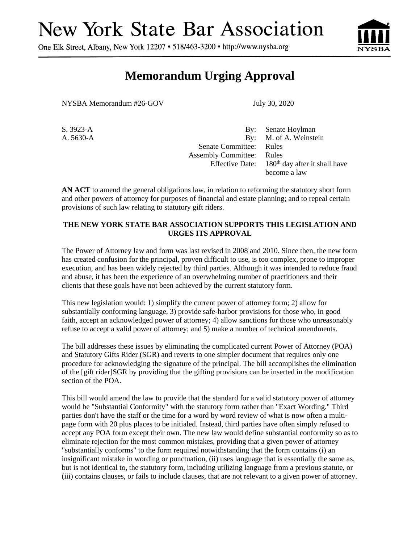## **New York State Bar Association**

One Elk Street, Albany, New York 12207 • 518/463-3200 • http://www.nysba.org



## **Memorandum Urging Approval**

NYSBA Memorandum #26-GOV July 30, 2020

S. 3923-A By: Senate Hoylman A. 5630-A By: M. of A. Weinstein Senate Committee: Rules Assembly Committee: Rules Effective Date:  $180<sup>th</sup>$  day after it shall have become a law

**AN ACT** to amend the general obligations law, in relation to reforming the statutory short form and other powers of attorney for purposes of financial and estate planning; and to repeal certain provisions of such law relating to statutory gift riders.

## **THE NEW YORK STATE BAR ASSOCIATION SUPPORTS THIS LEGISLATION AND URGES ITS APPROVAL**

The Power of Attorney law and form was last revised in 2008 and 2010. Since then, the new form has created confusion for the principal, proven difficult to use, is too complex, prone to improper execution, and has been widely rejected by third parties. Although it was intended to reduce fraud and abuse, it has been the experience of an overwhelming number of practitioners and their clients that these goals have not been achieved by the current statutory form.

This new legislation would: 1) simplify the current power of attorney form; 2) allow for substantially conforming language, 3) provide safe-harbor provisions for those who, in good faith, accept an acknowledged power of attorney; 4) allow sanctions for those who unreasonably refuse to accept a valid power of attorney; and 5) make a number of technical amendments.

The bill addresses these issues by eliminating the complicated current Power of Attorney (POA) and Statutory Gifts Rider (SGR) and reverts to one simpler document that requires only one procedure for acknowledging the signature of the principal. The bill accomplishes the elimination of the [gift rider]SGR by providing that the gifting provisions can be inserted in the modification section of the POA.

This bill would amend the law to provide that the standard for a valid statutory power of attorney would be "Substantial Conformity" with the statutory form rather than "Exact Wording." Third parties don't have the staff or the time for a word by word review of what is now often a multipage form with 20 plus places to be initialed. Instead, third parties have often simply refused to accept any POA form except their own. The new law would define substantial conformity so as to eliminate rejection for the most common mistakes, providing that a given power of attorney "substantially conforms" to the form required notwithstanding that the form contains (i) an insignificant mistake in wording or punctuation, (ii) uses language that is essentially the same as, but is not identical to, the statutory form, including utilizing language from a previous statute, or (iii) contains clauses, or fails to include clauses, that are not relevant to a given power of attorney.